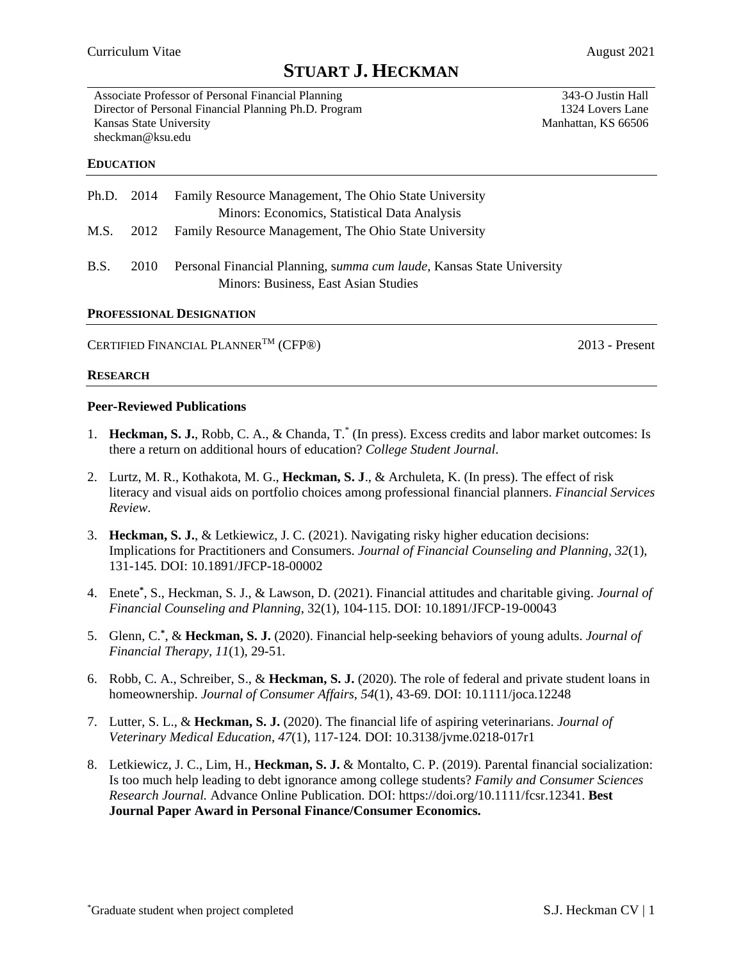# **STUART J. HECKMAN**

343-O Justin Hall 1324 Lovers Lane Manhattan, KS 66506

Associate Professor of Personal Financial Planning Director of Personal Financial Planning Ph.D. Program Kansas State University sheckman@ksu.edu

#### **EDUCATION**

| Ph.D. 2014  |      | Family Resource Management, The Ohio State University<br>Minors: Economics, Statistical Data Analysis         |
|-------------|------|---------------------------------------------------------------------------------------------------------------|
|             |      | M.S. 2012 Family Resource Management, The Ohio State University                                               |
| <b>B.S.</b> | 2010 | Personal Financial Planning, summa cum laude, Kansas State University<br>Minors: Business, East Asian Studies |

#### **PROFESSIONAL DESIGNATION**

CERTIFIED FINANCIAL PLANNER<sup>TM</sup> (CFP<sup>®</sup>) 2013 - Present

#### **RESEARCH**

#### **Peer-Reviewed Publications**

- 1. **Heckman, S. J.**, Robb, C. A., & Chanda, T.\* (In press). Excess credits and labor market outcomes: Is there a return on additional hours of education? *College Student Journal*.
- 2. Lurtz, M. R., Kothakota, M. G., **Heckman, S. J**., & Archuleta, K. (In press). The effect of risk literacy and visual aids on portfolio choices among professional financial planners. *Financial Services Review*.
- 3. **Heckman, S. J.**, & Letkiewicz, J. C. (2021). Navigating risky higher education decisions: Implications for Practitioners and Consumers. *Journal of Financial Counseling and Planning, 32*(1), 131-145. DOI: 10.1891/JFCP-18-00002
- 4. Enete**\*** , S., Heckman, S. J., & Lawson, D. (2021). Financial attitudes and charitable giving. *Journal of Financial Counseling and Planning*, 32(1), 104-115. DOI: 10.1891/JFCP-19-00043
- 5. Glenn, C.**\*** , & **Heckman, S. J.** (2020). Financial help-seeking behaviors of young adults. *Journal of Financial Therapy, 11*(1)*,* 29-51*.*
- 6. Robb, C. A., Schreiber, S., & **Heckman, S. J.** (2020). The role of federal and private student loans in homeownership. *Journal of Consumer Affairs*, *54*(1), 43-69. DOI: 10.1111/joca.12248
- 7. Lutter, S. L., & **Heckman, S. J.** (2020). The financial life of aspiring veterinarians. *Journal of Veterinary Medical Education, 47*(1), 117-124*.* DOI: 10.3138/jvme.0218-017r1
- 8. Letkiewicz, J. C., Lim, H., **Heckman, S. J.** & Montalto, C. P. (2019). Parental financial socialization: Is too much help leading to debt ignorance among college students? *Family and Consumer Sciences Research Journal.* Advance Online Publication. DOI: https://doi.org/10.1111/fcsr.12341. **Best Journal Paper Award in Personal Finance/Consumer Economics.**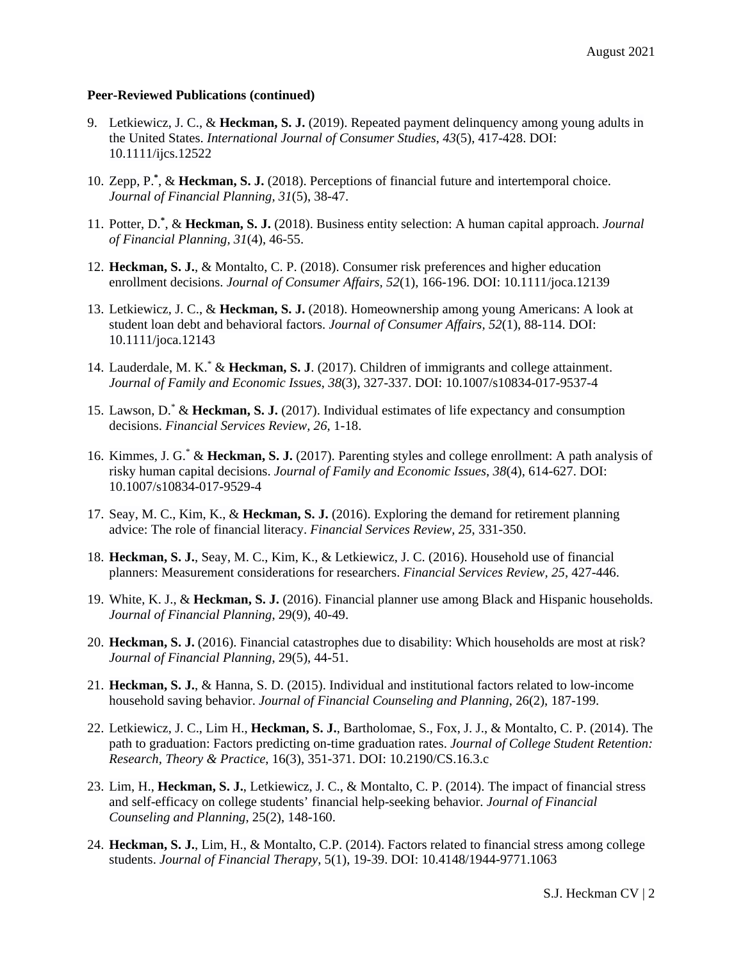#### **Peer-Reviewed Publications (continued)**

- 9. Letkiewicz, J. C., & **Heckman, S. J.** (2019). Repeated payment delinquency among young adults in the United States. *International Journal of Consumer Studies*, *43*(5), 417-428. DOI: 10.1111/ijcs.12522
- 10. Zepp, P.<sup>\*</sup>, & Heckman, S. J. (2018). Perceptions of financial future and intertemporal choice. *Journal of Financial Planning, 31*(5), 38-47.
- 11. Potter, D.**\*** , & **Heckman, S. J.** (2018). Business entity selection: A human capital approach. *Journal of Financial Planning, 31*(4), 46-55.
- 12. **Heckman, S. J.**, & Montalto, C. P. (2018). Consumer risk preferences and higher education enrollment decisions. *Journal of Consumer Affairs, 52*(1), 166-196. DOI: 10.1111/joca.12139
- 13. Letkiewicz, J. C., & **Heckman, S. J.** (2018). Homeownership among young Americans: A look at student loan debt and behavioral factors. *Journal of Consumer Affairs, 52*(1), 88-114. DOI: 10.1111/joca.12143
- 14. Lauderdale, M. K.\* & **Heckman, S. J**. (2017). Children of immigrants and college attainment. *Journal of Family and Economic Issues*, *38*(3), 327-337. DOI: 10.1007/s10834-017-9537-4
- 15. Lawson, D.\* & **Heckman, S. J.** (2017). Individual estimates of life expectancy and consumption decisions. *Financial Services Review, 26,* 1-18.
- 16. Kimmes, J. G.\* & **Heckman, S. J.** (2017). Parenting styles and college enrollment: A path analysis of risky human capital decisions. *Journal of Family and Economic Issues*, *38*(4), 614-627. DOI: 10.1007/s10834-017-9529-4
- 17. Seay, M. C., Kim, K., & **Heckman, S. J.** (2016). Exploring the demand for retirement planning advice: The role of financial literacy. *Financial Services Review, 25*, 331-350.
- 18. **Heckman, S. J.**, Seay, M. C., Kim, K., & Letkiewicz, J. C. (2016). Household use of financial planners: Measurement considerations for researchers. *Financial Services Review, 25*, 427-446.
- 19. White, K. J., & **Heckman, S. J.** (2016). Financial planner use among Black and Hispanic households. *Journal of Financial Planning*, 29(9), 40-49.
- 20. **Heckman, S. J.** (2016). Financial catastrophes due to disability: Which households are most at risk? *Journal of Financial Planning*, 29(5), 44-51.
- 21. **Heckman, S. J.**, & Hanna, S. D. (2015). Individual and institutional factors related to low-income household saving behavior. *Journal of Financial Counseling and Planning*, 26(2), 187-199.
- 22. Letkiewicz, J. C., Lim H., **Heckman, S. J.**, Bartholomae, S., Fox, J. J., & Montalto, C. P. (2014). The path to graduation: Factors predicting on-time graduation rates. *Journal of College Student Retention: Research, Theory & Practice*, 16(3), 351-371. DOI: 10.2190/CS.16.3.c
- 23. Lim, H., **Heckman, S. J.**, Letkiewicz, J. C., & Montalto, C. P. (2014). The impact of financial stress and self-efficacy on college students' financial help-seeking behavior. *Journal of Financial Counseling and Planning*, 25(2), 148-160.
- 24. **Heckman, S. J.**, Lim, H., & Montalto, C.P. (2014). Factors related to financial stress among college students. *Journal of Financial Therapy*, 5(1), 19-39. DOI: [10.4148/1944-9771.1063](http://dx.doi.org/10.4148/1944-9771.1063)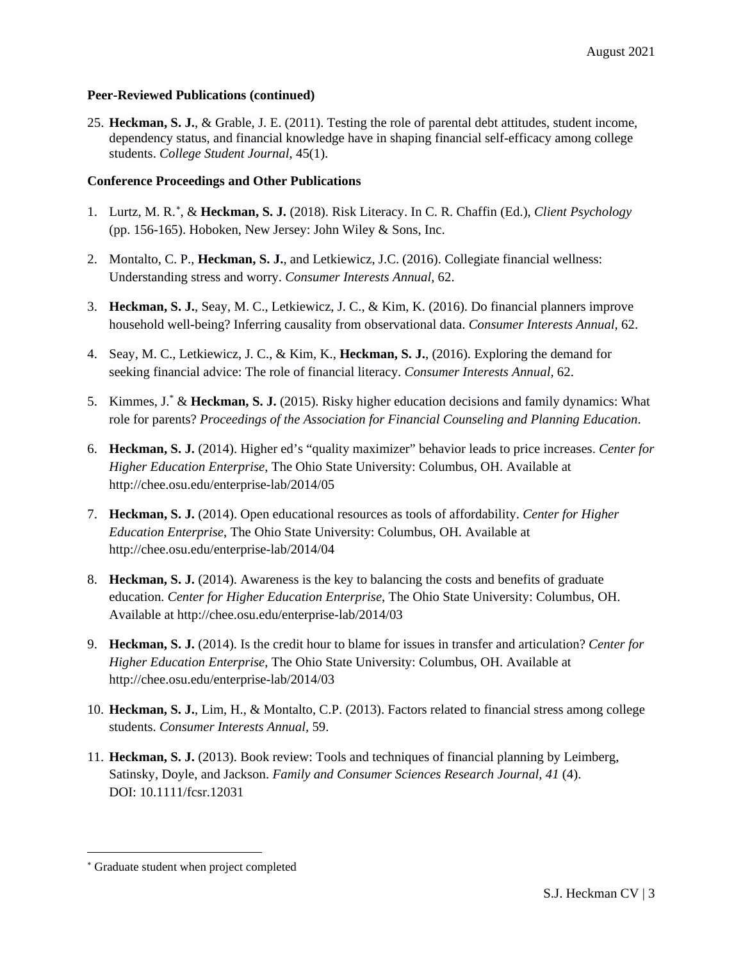#### **Peer-Reviewed Publications (continued)**

25. **Heckman, S. J.**, & Grable, J. E. (2011). Testing the role of parental debt attitudes, student income, dependency status, and financial knowledge have in shaping financial self-efficacy among college students. *College Student Journal*, 45(1).

### **Conference Proceedings and Other Publications**

- 1. Lurtz, M. R.<sup>\*</sup>, & Heckman, S. J. (2018). Risk Literacy. In C. R. Chaffin (Ed.), *Client Psychology* (pp. 156-165). Hoboken, New Jersey: John Wiley & Sons, Inc.
- 2. Montalto, C. P., **Heckman, S. J.**, and Letkiewicz, J.C. (2016). Collegiate financial wellness: Understanding stress and worry. *Consumer Interests Annual,* 62.
- 3. **Heckman, S. J.**, Seay, M. C., Letkiewicz, J. C., & Kim, K. (2016). Do financial planners improve household well-being? Inferring causality from observational data. *Consumer Interests Annual,* 62.
- 4. Seay, M. C., Letkiewicz, J. C., & Kim, K., **Heckman, S. J.**, (2016). Exploring the demand for seeking financial advice: The role of financial literacy. *Consumer Interests Annual,* 62.
- 5. Kimmes, J.\* & **Heckman, S. J.** (2015). Risky higher education decisions and family dynamics: What role for parents? *Proceedings of the Association for Financial Counseling and Planning Education*.
- 6. **Heckman, S. J.** (2014). Higher ed's "quality maximizer" behavior leads to price increases. *Center for Higher Education Enterprise*, The Ohio State University: Columbus, OH. Available at http://chee.osu.edu/enterprise-lab/2014/05
- 7. **Heckman, S. J.** (2014). Open educational resources as tools of affordability. *Center for Higher Education Enterprise*, The Ohio State University: Columbus, OH. Available at http://chee.osu.edu/enterprise-lab/2014/04
- 8. **Heckman, S. J.** (2014). Awareness is the key to balancing the costs and benefits of graduate education. *Center for Higher Education Enterprise*, The Ohio State University: Columbus, OH. Available at http://chee.osu.edu/enterprise-lab/2014/03
- 9. **Heckman, S. J.** (2014). Is the credit hour to blame for issues in transfer and articulation? *Center for Higher Education Enterprise*, The Ohio State University: Columbus, OH. Available at http://chee.osu.edu/enterprise-lab/2014/03
- 10. **Heckman, S. J.**, Lim, H., & Montalto, C.P. (2013). Factors related to financial stress among college students. *Consumer Interests Annual,* 59.
- 11. **Heckman, S. J.** (2013). Book review: Tools and techniques of financial planning by Leimberg, Satinsky, Doyle, and Jackson. *Family and Consumer Sciences Research Journal, 41* (4). DOI: 10.1111/fcsr.12031

<span id="page-2-0"></span><sup>∗</sup> Graduate student when project completed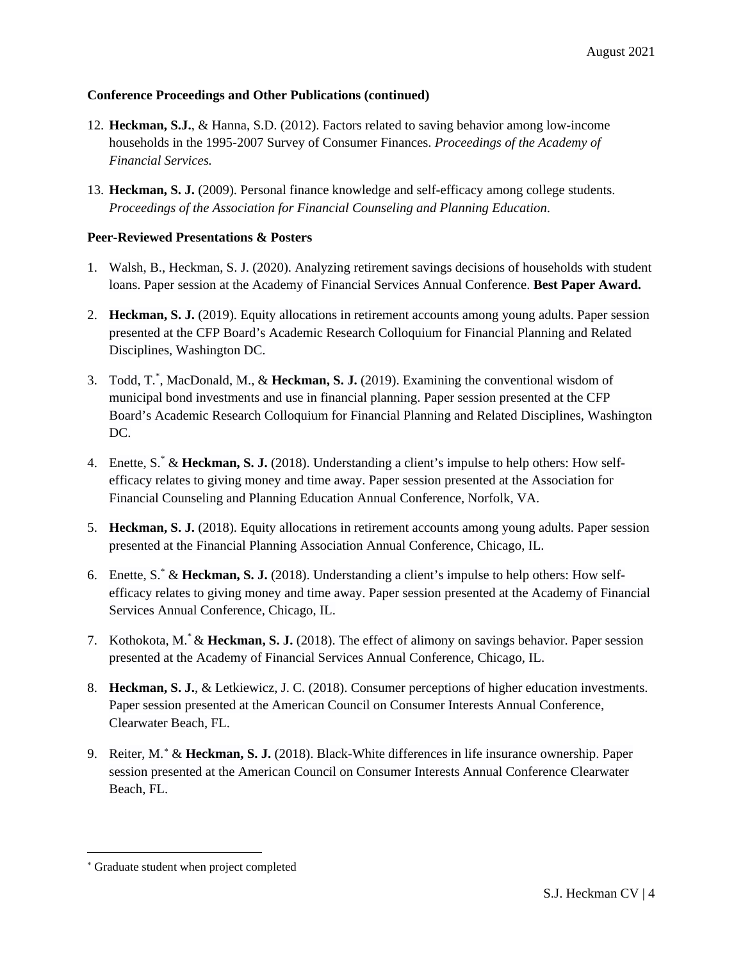## **Conference Proceedings and Other Publications (continued)**

- 12. **Heckman, S.J.**, & Hanna, S.D. (2012). Factors related to saving behavior among low-income households in the 1995-2007 Survey of Consumer Finances. *Proceedings of the Academy of Financial Services.*
- 13. **Heckman, S. J.** (2009). Personal finance knowledge and self-efficacy among college students. *Proceedings of the Association for Financial Counseling and Planning Education*.

## **Peer-Reviewed Presentations & Posters**

- 1. Walsh, B., Heckman, S. J. (2020). Analyzing retirement savings decisions of households with student loans. Paper session at the Academy of Financial Services Annual Conference. **Best Paper Award.**
- 2. **Heckman, S. J.** (2019). Equity allocations in retirement accounts among young adults. Paper session presented at the CFP Board's Academic Research Colloquium for Financial Planning and Related Disciplines, Washington DC.
- 3. Todd, T.\* , MacDonald, M., & **Heckman, S. J.** (2019). Examining the conventional wisdom of municipal bond investments and use in financial planning. Paper session presented at the CFP Board's Academic Research Colloquium for Financial Planning and Related Disciplines, Washington DC.
- 4. Enette, S.\* & **Heckman, S. J.** (2018). Understanding a client's impulse to help others: How selfefficacy relates to giving money and time away. Paper session presented at the Association for Financial Counseling and Planning Education Annual Conference, Norfolk, VA.
- 5. **Heckman, S. J.** (2018). Equity allocations in retirement accounts among young adults. Paper session presented at the Financial Planning Association Annual Conference, Chicago, IL.
- 6. Enette, S.\* & **Heckman, S. J.** (2018). Understanding a client's impulse to help others: How selfefficacy relates to giving money and time away. Paper session presented at the Academy of Financial Services Annual Conference, Chicago, IL.
- 7. Kothokota, M.\* & **Heckman, S. J.** (2018). The effect of alimony on savings behavior. Paper session presented at the Academy of Financial Services Annual Conference, Chicago, IL.
- 8. **Heckman, S. J.**, & Letkiewicz, J. C. (2018). Consumer perceptions of higher education investments. Paper session presented at the American Council on Consumer Interests Annual Conference, Clearwater Beach, FL.
- 9. Reiter, M.<sup>[∗](#page-3-0)</sup> & Heckman, S. J. (2018). Black-White differences in life insurance ownership. Paper session presented at the American Council on Consumer Interests Annual Conference Clearwater Beach, FL.

<span id="page-3-0"></span><sup>∗</sup> Graduate student when project completed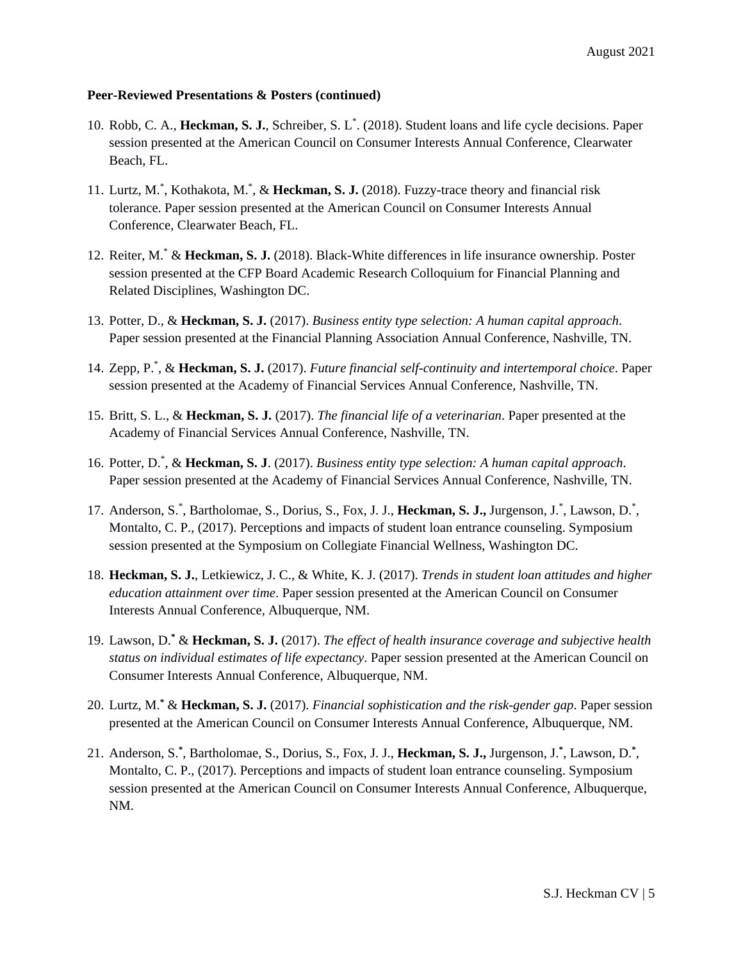- 10. Robb, C. A., **Heckman, S. J.**, Schreiber, S. L\* . (2018). Student loans and life cycle decisions. Paper session presented at the American Council on Consumer Interests Annual Conference, Clearwater Beach, FL.
- 11. Lurtz, M.\* , Kothakota, M.\* , & **Heckman, S. J.** (2018). Fuzzy-trace theory and financial risk tolerance. Paper session presented at the American Council on Consumer Interests Annual Conference, Clearwater Beach, FL.
- 12. Reiter, M.\* & **Heckman, S. J.** (2018). Black-White differences in life insurance ownership. Poster session presented at the CFP Board Academic Research Colloquium for Financial Planning and Related Disciplines, Washington DC.
- 13. Potter, D., & **Heckman, S. J.** (2017). *Business entity type selection: A human capital approach*. Paper session presented at the Financial Planning Association Annual Conference, Nashville, TN.
- 14. Zepp, P.\* , & **Heckman, S. J.** (2017). *Future financial self-continuity and intertemporal choice*. Paper session presented at the Academy of Financial Services Annual Conference, Nashville, TN.
- 15. Britt, S. L., & **Heckman, S. J.** (2017). *The financial life of a veterinarian*. Paper presented at the Academy of Financial Services Annual Conference, Nashville, TN.
- 16. Potter, D.\* , & **Heckman, S. J**. (2017). *Business entity type selection: A human capital approach*. Paper session presented at the Academy of Financial Services Annual Conference, Nashville, TN.
- 17. Anderson, S.<sup>\*</sup>, Bartholomae, S., Dorius, S., Fox, J. J., Heckman, S. J., Jurgenson, J.<sup>\*</sup>, Lawson, D.<sup>\*</sup>, Montalto, C. P., (2017). Perceptions and impacts of student loan entrance counseling. Symposium session presented at the Symposium on Collegiate Financial Wellness, Washington DC.
- 18. **Heckman, S. J.**, Letkiewicz, J. C., & White, K. J. (2017). *Trends in student loan attitudes and higher education attainment over time*. Paper session presented at the American Council on Consumer Interests Annual Conference, Albuquerque, NM.
- 19. Lawson, D.**\*** & **Heckman, S. J.** (2017). *The effect of health insurance coverage and subjective health status on individual estimates of life expectancy*. Paper session presented at the American Council on Consumer Interests Annual Conference, Albuquerque, NM.
- 20. Lurtz, M.**\*** & **Heckman, S. J.** (2017). *Financial sophistication and the risk-gender gap*. Paper session presented at the American Council on Consumer Interests Annual Conference, Albuquerque, NM.
- 21. Anderson, S.**\*** , Bartholomae, S., Dorius, S., Fox, J. J., **Heckman, S. J.,** Jurgenson, J.**\*** , Lawson, D.**\*** , Montalto, C. P., (2017). Perceptions and impacts of student loan entrance counseling. Symposium session presented at the American Council on Consumer Interests Annual Conference, Albuquerque, NM.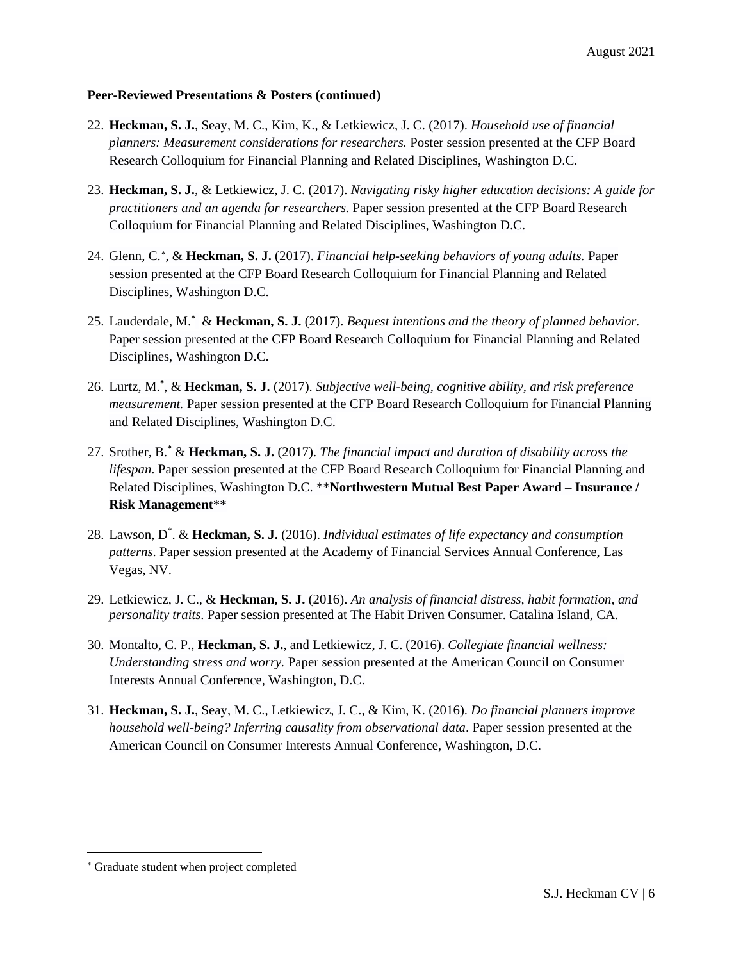- 22. **Heckman, S. J.**, Seay, M. C., Kim, K., & Letkiewicz, J. C. (2017). *Household use of financial planners: Measurement considerations for researchers.* Poster session presented at the CFP Board Research Colloquium for Financial Planning and Related Disciplines, Washington D.C.
- 23. **Heckman, S. J.**, & Letkiewicz, J. C. (2017). *Navigating risky higher education decisions: A guide for practitioners and an agenda for researchers.* Paper session presented at the CFP Board Research Colloquium for Financial Planning and Related Disciplines, Washington D.C.
- 24. Glenn, C.[∗](#page-5-0) , & **Heckman, S. J.** (2017). *Financial help-seeking behaviors of young adults.* Paper session presented at the CFP Board Research Colloquium for Financial Planning and Related Disciplines, Washington D.C.
- 25. Lauderdale, M.**\*** & **Heckman, S. J.** (2017). *Bequest intentions and the theory of planned behavior.*  Paper session presented at the CFP Board Research Colloquium for Financial Planning and Related Disciplines, Washington D.C.
- 26. Lurtz, M.**\*** , & **Heckman, S. J.** (2017). *Subjective well-being, cognitive ability, and risk preference measurement.* Paper session presented at the CFP Board Research Colloquium for Financial Planning and Related Disciplines, Washington D.C.
- 27. Srother, B.**\*** & **Heckman, S. J.** (2017). *The financial impact and duration of disability across the lifespan*. Paper session presented at the CFP Board Research Colloquium for Financial Planning and Related Disciplines, Washington D.C. \*\***Northwestern Mutual Best Paper Award – Insurance / Risk Management**\*\*
- 28. Lawson, D\* . & **Heckman, S. J.** (2016). *Individual estimates of life expectancy and consumption patterns*. Paper session presented at the Academy of Financial Services Annual Conference, Las Vegas, NV.
- 29. Letkiewicz, J. C., & **Heckman, S. J.** (2016). *An analysis of financial distress, habit formation, and personality traits*. Paper session presented at The Habit Driven Consumer. Catalina Island, CA.
- 30. Montalto, C. P., **Heckman, S. J.**, and Letkiewicz, J. C. (2016). *Collegiate financial wellness: Understanding stress and worry.* Paper session presented at the American Council on Consumer Interests Annual Conference, Washington, D.C.
- 31. **Heckman, S. J.**, Seay, M. C., Letkiewicz, J. C., & Kim, K. (2016). *Do financial planners improve household well-being? Inferring causality from observational data*. Paper session presented at the American Council on Consumer Interests Annual Conference, Washington, D.C.

<span id="page-5-0"></span><sup>∗</sup> Graduate student when project completed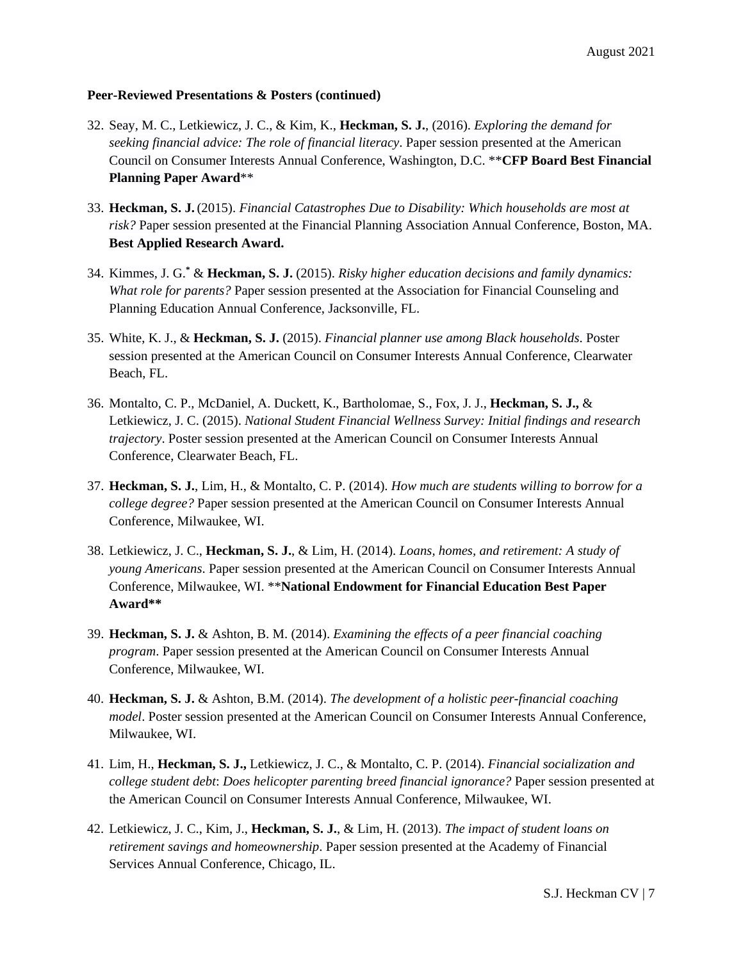- 32. Seay, M. C., Letkiewicz, J. C., & Kim, K., **Heckman, S. J.**, (2016). *Exploring the demand for seeking financial advice: The role of financial literacy*. Paper session presented at the American Council on Consumer Interests Annual Conference, Washington, D.C. \*\***CFP Board Best Financial Planning Paper Award**\*\*
- 33. **Heckman, S. J.**(2015). *Financial Catastrophes Due to Disability: Which households are most at risk?* Paper session presented at the Financial Planning Association Annual Conference, Boston, MA. **Best Applied Research Award.**
- 34. Kimmes, J. G.**\*** & **Heckman, S. J.** (2015). *Risky higher education decisions and family dynamics: What role for parents?* Paper session presented at the Association for Financial Counseling and Planning Education Annual Conference, Jacksonville, FL.
- 35. White, K. J., & **Heckman, S. J.** (2015). *Financial planner use among Black households*. Poster session presented at the American Council on Consumer Interests Annual Conference, Clearwater Beach, FL.
- 36. Montalto, C. P., McDaniel, A. Duckett, K., Bartholomae, S., Fox, J. J., **Heckman, S. J.,** & Letkiewicz, J. C. (2015). *National Student Financial Wellness Survey: Initial findings and research trajectory*. Poster session presented at the American Council on Consumer Interests Annual Conference, Clearwater Beach, FL.
- 37. **Heckman, S. J.**, Lim, H., & Montalto, C. P. (2014). *How much are students willing to borrow for a college degree?* Paper session presented at the American Council on Consumer Interests Annual Conference, Milwaukee, WI.
- 38. Letkiewicz, J. C., **Heckman, S. J.**, & Lim, H. (2014). *Loans, homes, and retirement: A study of young Americans*. Paper session presented at the American Council on Consumer Interests Annual Conference, Milwaukee, WI. \*\***National Endowment for Financial Education Best Paper Award\*\***
- 39. **Heckman, S. J.** & Ashton, B. M. (2014). *Examining the effects of a peer financial coaching program*. Paper session presented at the American Council on Consumer Interests Annual Conference, Milwaukee, WI.
- 40. **Heckman, S. J.** & Ashton, B.M. (2014). *The development of a holistic peer-financial coaching model*. Poster session presented at the American Council on Consumer Interests Annual Conference, Milwaukee, WI.
- 41. Lim, H., **Heckman, S. J.,** Letkiewicz, J. C., & Montalto, C. P. (2014). *Financial socialization and college student debt*: *Does helicopter parenting breed financial ignorance?* Paper session presented at the American Council on Consumer Interests Annual Conference, Milwaukee, WI.
- 42. Letkiewicz, J. C., Kim, J., **Heckman, S. J.**, & Lim, H. (2013). *The impact of student loans on retirement savings and homeownership*. Paper session presented at the Academy of Financial Services Annual Conference, Chicago, IL.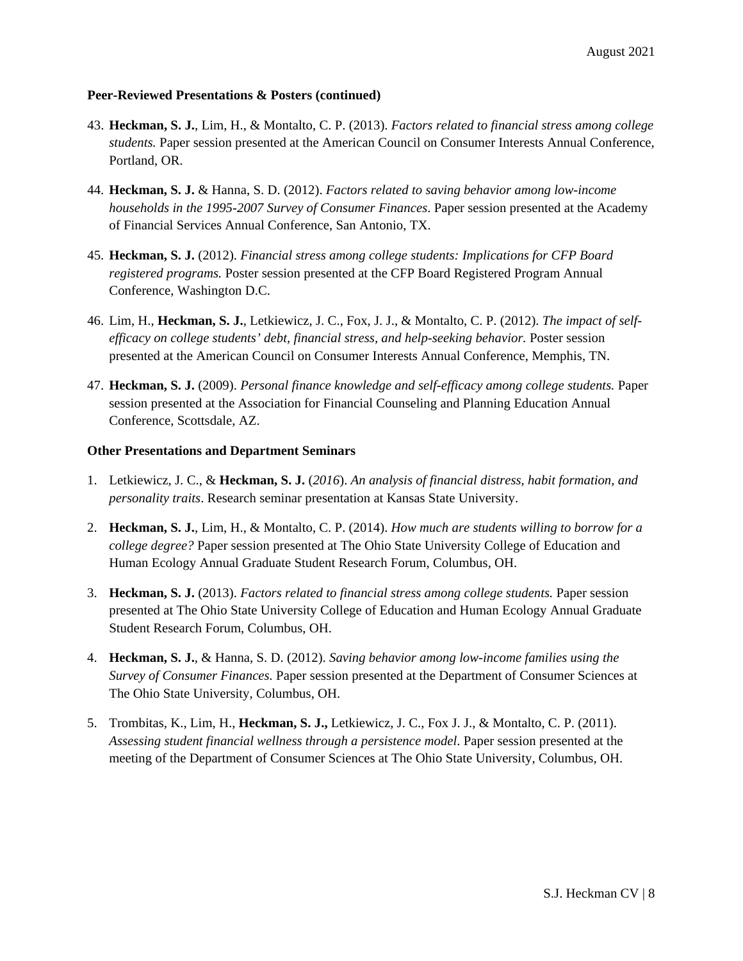- 43. **Heckman, S. J.**, Lim, H., & Montalto, C. P. (2013). *Factors related to financial stress among college students.* Paper session presented at the American Council on Consumer Interests Annual Conference, Portland, OR.
- 44. **Heckman, S. J.** & Hanna, S. D. (2012). *Factors related to saving behavior among low-income households in the 1995-2007 Survey of Consumer Finances*. Paper session presented at the Academy of Financial Services Annual Conference, San Antonio, TX.
- 45. **Heckman, S. J.** (2012). *Financial stress among college students: Implications for CFP Board registered programs.* Poster session presented at the CFP Board Registered Program Annual Conference, Washington D.C.
- 46. Lim, H., **Heckman, S. J.**, Letkiewicz, J. C., Fox, J. J., & Montalto, C. P. (2012). *The impact of selfefficacy on college students' debt, financial stress, and help-seeking behavior.* Poster session presented at the American Council on Consumer Interests Annual Conference, Memphis, TN.
- 47. **Heckman, S. J.** (2009). *Personal finance knowledge and self-efficacy among college students.* Paper session presented at the Association for Financial Counseling and Planning Education Annual Conference, Scottsdale, AZ.

#### **Other Presentations and Department Seminars**

- 1. Letkiewicz, J. C., & **Heckman, S. J.** (*2016*). *An analysis of financial distress, habit formation, and personality traits*. Research seminar presentation at Kansas State University.
- 2. **Heckman, S. J.**, Lim, H., & Montalto, C. P. (2014). *How much are students willing to borrow for a college degree?* Paper session presented at The Ohio State University College of Education and Human Ecology Annual Graduate Student Research Forum, Columbus, OH.
- 3. **Heckman, S. J.** (2013). *Factors related to financial stress among college students.* Paper session presented at The Ohio State University College of Education and Human Ecology Annual Graduate Student Research Forum, Columbus, OH.
- 4. **Heckman, S. J.**, & Hanna, S. D. (2012). *Saving behavior among low-income families using the Survey of Consumer Finances.* Paper session presented at the Department of Consumer Sciences at The Ohio State University, Columbus, OH.
- 5. Trombitas, K., Lim, H., **Heckman, S. J.,** Letkiewicz, J. C., Fox J. J., & Montalto, C. P. (2011). *Assessing student financial wellness through a persistence model*. Paper session presented at the meeting of the Department of Consumer Sciences at The Ohio State University, Columbus, OH.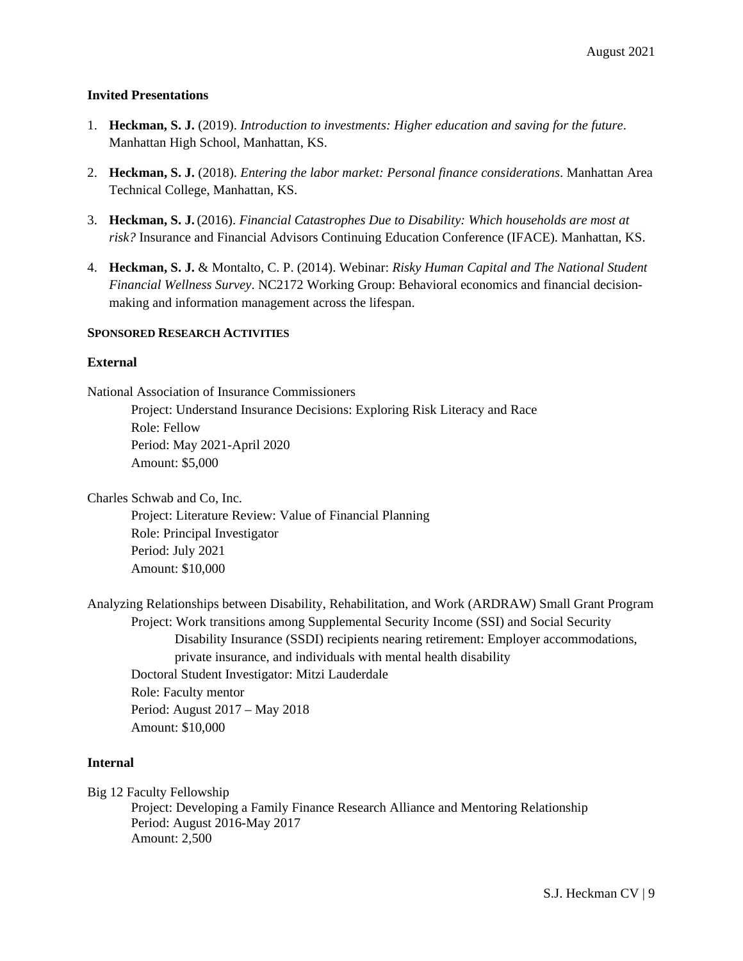#### **Invited Presentations**

- 1. **Heckman, S. J.** (2019). *Introduction to investments: Higher education and saving for the future*. Manhattan High School, Manhattan, KS.
- 2. **Heckman, S. J.** (2018). *Entering the labor market: Personal finance considerations*. Manhattan Area Technical College, Manhattan, KS.
- 3. **Heckman, S. J.**(2016). *Financial Catastrophes Due to Disability: Which households are most at risk?* Insurance and Financial Advisors Continuing Education Conference (IFACE). Manhattan, KS.
- 4. **Heckman, S. J.** & Montalto, C. P. (2014). Webinar: *Risky Human Capital and The National Student Financial Wellness Survey*. NC2172 Working Group: Behavioral economics and financial decisionmaking and information management across the lifespan.

#### **SPONSORED RESEARCH ACTIVITIES**

#### **External**

National Association of Insurance Commissioners

Project: Understand Insurance Decisions: Exploring Risk Literacy and Race Role: Fellow Period: May 2021-April 2020 Amount: \$5,000

Charles Schwab and Co, Inc.

Project: Literature Review: Value of Financial Planning Role: Principal Investigator Period: July 2021 Amount: \$10,000

Analyzing Relationships between Disability, Rehabilitation, and Work (ARDRAW) Small Grant Program Project: Work transitions among Supplemental Security Income (SSI) and Social Security Disability Insurance (SSDI) recipients nearing retirement: Employer accommodations, private insurance, and individuals with mental health disability Doctoral Student Investigator: Mitzi Lauderdale Role: Faculty mentor Period: August 2017 – May 2018 Amount: \$10,000

### **Internal**

Big 12 Faculty Fellowship

Project: Developing a Family Finance Research Alliance and Mentoring Relationship Period: August 2016-May 2017 Amount: 2,500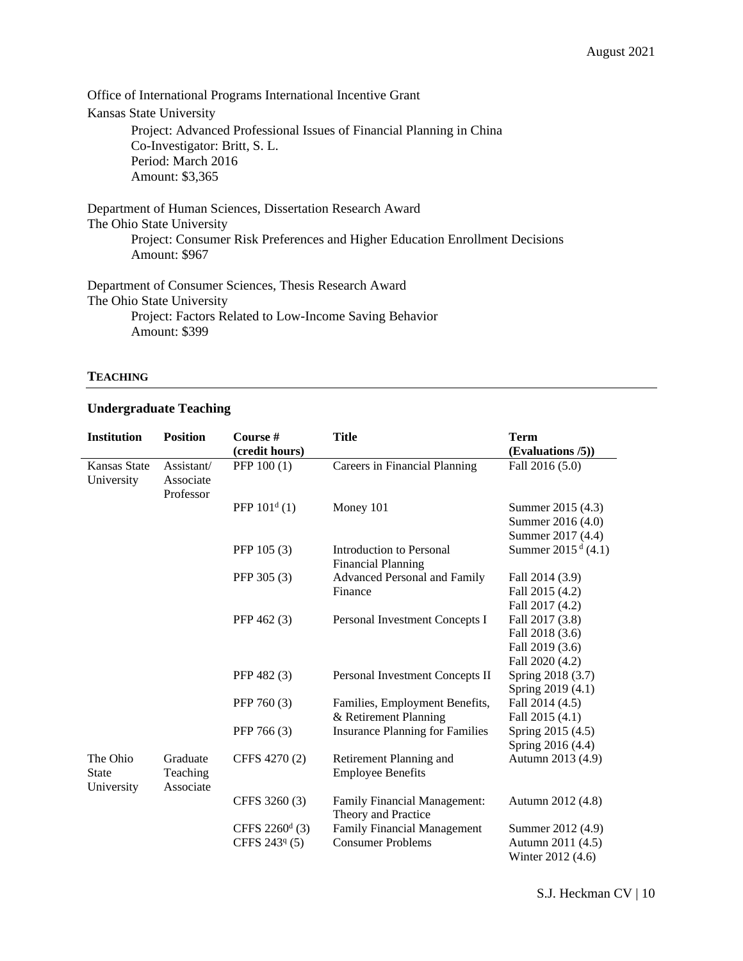Office of International Programs International Incentive Grant Kansas State University Project: Advanced Professional Issues of Financial Planning in China Co-Investigator: Britt, S. L. Period: March 2016 Amount: \$3,365

Department of Human Sciences, Dissertation Research Award The Ohio State University Project: Consumer Risk Preferences and Higher Education Enrollment Decisions Amount: \$967

Department of Consumer Sciences, Thesis Research Award The Ohio State University Project: Factors Related to Low-Income Saving Behavior Amount: \$399

#### **TEACHING**

### **Undergraduate Teaching**

| <b>Institution</b>                     | <b>Position</b>                      | Course #<br>(credit hours) | <b>Title</b>                                               | <b>Term</b><br>(Evaluations /5)) |
|----------------------------------------|--------------------------------------|----------------------------|------------------------------------------------------------|----------------------------------|
| <b>Kansas State</b><br>University      | Assistant/<br>Associate<br>Professor | PFP 100 (1)                | Careers in Financial Planning                              | Fall 2016 (5.0)                  |
|                                        |                                      | PFP $101^d$ (1)            | Money 101                                                  | Summer 2015 (4.3)                |
|                                        |                                      |                            |                                                            | Summer 2016 (4.0)                |
|                                        |                                      |                            |                                                            | Summer 2017 (4.4)                |
|                                        |                                      | PFP 105 (3)                | Introduction to Personal<br><b>Financial Planning</b>      | Summer $2015^{\text{ d}}$ (4.1)  |
|                                        |                                      | PFP 305 (3)                | <b>Advanced Personal and Family</b>                        | Fall 2014 (3.9)                  |
|                                        |                                      |                            | Finance                                                    | Fall 2015 (4.2)                  |
|                                        |                                      |                            |                                                            | Fall 2017 (4.2)                  |
|                                        |                                      | PFP 462 (3)                | Personal Investment Concepts I                             | Fall 2017 (3.8)                  |
|                                        |                                      |                            |                                                            | Fall 2018 (3.6)                  |
|                                        |                                      |                            |                                                            | Fall 2019 (3.6)                  |
|                                        |                                      |                            |                                                            | Fall 2020 (4.2)                  |
|                                        |                                      | PFP 482 (3)                | Personal Investment Concepts II                            | Spring 2018 (3.7)                |
|                                        |                                      |                            |                                                            | Spring 2019 (4.1)                |
|                                        |                                      | PFP 760 (3)                | Families, Employment Benefits,                             | Fall 2014 (4.5)                  |
|                                        |                                      |                            | & Retirement Planning                                      | Fall 2015 (4.1)                  |
|                                        |                                      | PFP 766 (3)                | <b>Insurance Planning for Families</b>                     | Spring 2015 (4.5)                |
|                                        |                                      |                            |                                                            | Spring 2016 (4.4)                |
| The Ohio<br><b>State</b><br>University | Graduate<br>Teaching<br>Associate    | CFFS 4270 (2)              | Retirement Planning and<br><b>Employee Benefits</b>        | Autumn 2013 (4.9)                |
|                                        |                                      | CFFS 3260 (3)              | <b>Family Financial Management:</b><br>Theory and Practice | Autumn 2012 (4.8)                |
|                                        |                                      | CFFS $2260^d$ (3)          | <b>Family Financial Management</b>                         | Summer 2012 (4.9)                |
|                                        |                                      | CFFS 243 <sup>q</sup> (5)  | <b>Consumer Problems</b>                                   | Autumn 2011 (4.5)                |
|                                        |                                      |                            |                                                            | Winter 2012 (4.6)                |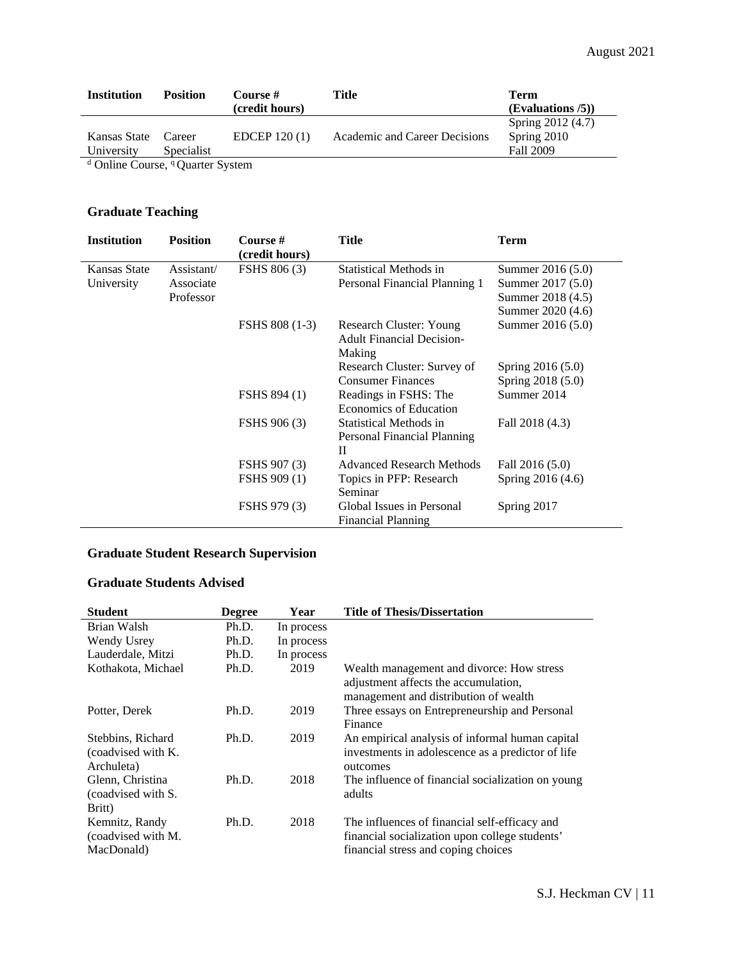| <b>Institution</b>                | <b>Position</b> | Course #       | Title                         | Term              |
|-----------------------------------|-----------------|----------------|-------------------------------|-------------------|
|                                   |                 | (credit hours) |                               | (Evaluations / 5) |
|                                   |                 |                |                               | Spring 2012 (4.7) |
| Kansas State                      | Career          | EDCEP $120(1)$ | Academic and Career Decisions | Spring 2010       |
| University                        | Specialist      |                |                               | Fall 2009         |
| $\mathbb{R}^n$ and $\mathbb{R}^n$ |                 |                |                               |                   |

<sup>d</sup> Online Course, <sup>q</sup> Quarter System

## **Graduate Teaching**

| <b>Institution</b> | <b>Position</b> | Course #<br>(credit hours) | <b>Title</b>                                                          | Term              |
|--------------------|-----------------|----------------------------|-----------------------------------------------------------------------|-------------------|
| Kansas State       | Assistant/      | <b>FSHS 806 (3)</b>        | Statistical Methods in                                                | Summer 2016 (5.0) |
| University         | Associate       |                            | Personal Financial Planning 1                                         | Summer 2017 (5.0) |
|                    | Professor       |                            |                                                                       | Summer 2018 (4.5) |
|                    |                 |                            |                                                                       | Summer 2020 (4.6) |
|                    |                 | FSHS 808 (1-3)             | Research Cluster: Young<br><b>Adult Financial Decision-</b><br>Making | Summer 2016 (5.0) |
|                    |                 |                            | Research Cluster: Survey of                                           | Spring 2016 (5.0) |
|                    |                 |                            | <b>Consumer Finances</b>                                              | Spring 2018 (5.0) |
|                    |                 | <b>FSHS 894 (1)</b>        | Readings in FSHS: The<br>Economics of Education                       | Summer 2014       |
|                    |                 | <b>FSHS 906 (3)</b>        | Statistical Methods in<br>Personal Financial Planning<br>П            | Fall 2018 (4.3)   |
|                    |                 | FSHS 907 (3)               | <b>Advanced Research Methods</b>                                      | Fall 2016 (5.0)   |
|                    |                 | <b>FSHS 909 (1)</b>        | Topics in PFP: Research<br>Seminar                                    | Spring 2016 (4.6) |
|                    |                 | FSHS 979 (3)               | Global Issues in Personal<br><b>Financial Planning</b>                | Spring 2017       |

## **Graduate Student Research Supervision**

## **Graduate Students Advised**

| Student                                               | <b>Degree</b> | Year       | <b>Title of Thesis/Dissertation</b>                                                                                                    |
|-------------------------------------------------------|---------------|------------|----------------------------------------------------------------------------------------------------------------------------------------|
| Brian Walsh                                           | Ph.D.         | In process |                                                                                                                                        |
| Wendy Usrey                                           | Ph.D.         | In process |                                                                                                                                        |
| Lauderdale, Mitzi                                     | Ph.D.         | In process |                                                                                                                                        |
| Kothakota, Michael                                    | Ph.D.         | 2019       | Wealth management and divorce: How stress<br>adjustment affects the accumulation,<br>management and distribution of wealth             |
| Potter, Derek                                         | Ph.D.         | 2019       | Three essays on Entrepreneurship and Personal<br>Finance                                                                               |
| Stebbins, Richard<br>(coadvised with K.<br>Archuleta) | Ph.D.         | 2019       | An empirical analysis of informal human capital<br>investments in adolescence as a predictor of life<br>outcomes                       |
| Glenn, Christina<br>(coadvised with S.<br>Britt)      | Ph.D.         | 2018       | The influence of financial socialization on young<br>adults                                                                            |
| Kemnitz, Randy<br>(coadvised with M.<br>MacDonald)    | Ph.D.         | 2018       | The influences of financial self-efficacy and<br>financial socialization upon college students'<br>financial stress and coping choices |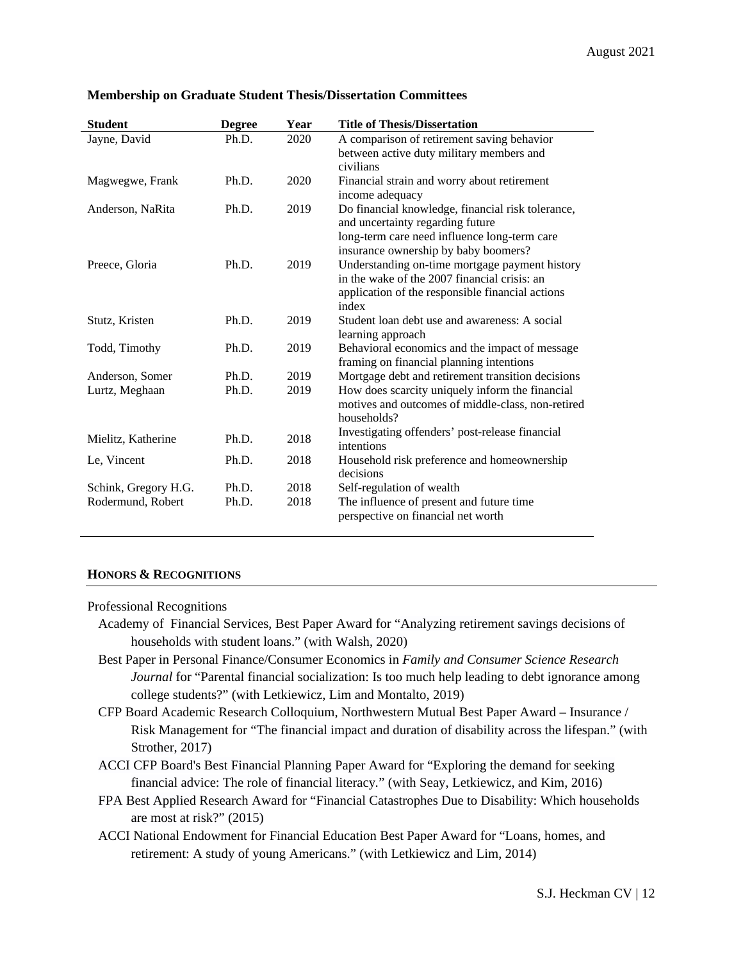| <b>Student</b>       | <b>Degree</b> | Year | <b>Title of Thesis/Dissertation</b>                                 |
|----------------------|---------------|------|---------------------------------------------------------------------|
| Jayne, David         | Ph.D.         | 2020 | A comparison of retirement saving behavior                          |
|                      |               |      | between active duty military members and                            |
|                      |               |      | civilians                                                           |
| Magwegwe, Frank      | Ph.D.         | 2020 | Financial strain and worry about retirement                         |
|                      |               |      | income adequacy                                                     |
| Anderson, NaRita     | Ph.D.         | 2019 | Do financial knowledge, financial risk tolerance,                   |
|                      |               |      | and uncertainty regarding future                                    |
|                      |               |      | long-term care need influence long-term care                        |
|                      |               |      | insurance ownership by baby boomers?                                |
| Preece, Gloria       | Ph.D.         | 2019 | Understanding on-time mortgage payment history                      |
|                      |               |      | in the wake of the 2007 financial crisis: an                        |
|                      |               |      | application of the responsible financial actions                    |
|                      | Ph.D.         | 2019 | index<br>Student loan debt use and awareness: A social              |
| Stutz, Kristen       |               |      |                                                                     |
| Todd, Timothy        | Ph.D.         | 2019 | learning approach<br>Behavioral economics and the impact of message |
|                      |               |      | framing on financial planning intentions                            |
| Anderson, Somer      | Ph.D.         | 2019 | Mortgage debt and retirement transition decisions                   |
| Lurtz, Meghaan       | Ph.D.         | 2019 | How does scarcity uniquely inform the financial                     |
|                      |               |      | motives and outcomes of middle-class, non-retired                   |
|                      |               |      | households?                                                         |
|                      |               |      | Investigating offenders' post-release financial                     |
| Mielitz, Katherine   | Ph.D.         | 2018 | intentions                                                          |
| Le, Vincent          | Ph.D.         | 2018 | Household risk preference and homeownership                         |
|                      |               |      | decisions                                                           |
| Schink, Gregory H.G. | Ph.D.         | 2018 | Self-regulation of wealth                                           |
| Rodermund, Robert    | Ph.D.         | 2018 | The influence of present and future time                            |
|                      |               |      | perspective on financial net worth                                  |
|                      |               |      |                                                                     |

#### **Membership on Graduate Student Thesis/Dissertation Committees**

### **HONORS & RECOGNITIONS**

#### Professional Recognitions

- Academy of Financial Services, Best Paper Award for "Analyzing retirement savings decisions of households with student loans." (with Walsh, 2020)
- Best Paper in Personal Finance/Consumer Economics in *Family and Consumer Science Research Journal* for "Parental financial socialization: Is too much help leading to debt ignorance among college students?" (with Letkiewicz, Lim and Montalto, 2019)
- CFP Board Academic Research Colloquium, Northwestern Mutual Best Paper Award Insurance / Risk Management for "The financial impact and duration of disability across the lifespan." (with Strother, 2017)
- ACCI CFP Board's Best Financial Planning Paper Award for "Exploring the demand for seeking financial advice: The role of financial literacy*.*" (with Seay, Letkiewicz, and Kim, 2016)
- FPA Best Applied Research Award for "Financial Catastrophes Due to Disability: Which households are most at risk?" (2015)
- ACCI National Endowment for Financial Education Best Paper Award for "Loans, homes, and retirement: A study of young Americans." (with Letkiewicz and Lim, 2014)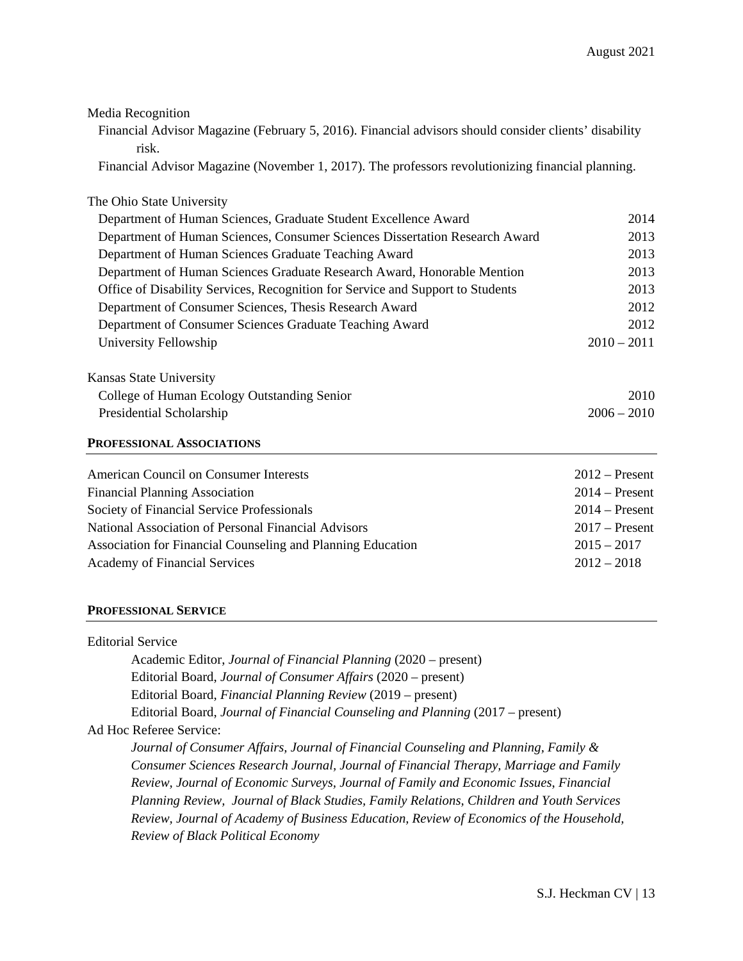| Media Recognition                                                                                     |                  |
|-------------------------------------------------------------------------------------------------------|------------------|
| Financial Advisor Magazine (February 5, 2016). Financial advisors should consider clients' disability |                  |
| risk.                                                                                                 |                  |
| Financial Advisor Magazine (November 1, 2017). The professors revolutionizing financial planning.     |                  |
| The Ohio State University                                                                             |                  |
| Department of Human Sciences, Graduate Student Excellence Award                                       | 2014             |
| Department of Human Sciences, Consumer Sciences Dissertation Research Award                           | 2013             |
| Department of Human Sciences Graduate Teaching Award                                                  | 2013             |
| Department of Human Sciences Graduate Research Award, Honorable Mention                               | 2013             |
| Office of Disability Services, Recognition for Service and Support to Students                        | 2013             |
| Department of Consumer Sciences, Thesis Research Award                                                | 2012             |
| Department of Consumer Sciences Graduate Teaching Award                                               | 2012             |
| University Fellowship                                                                                 | $2010 - 2011$    |
|                                                                                                       |                  |
| Kansas State University                                                                               |                  |
| College of Human Ecology Outstanding Senior                                                           | 2010             |
| Presidential Scholarship                                                                              | $2006 - 2010$    |
| PROFESSIONAL ASSOCIATIONS                                                                             |                  |
| <b>American Council on Consumer Interests</b>                                                         | $2012$ – Present |
| <b>Financial Planning Association</b>                                                                 | $2014 -$ Present |
| Society of Financial Service Professionals                                                            | $2014$ – Present |
| National Association of Personal Financial Advisors                                                   | $2017$ – Present |
| Association for Financial Counseling and Planning Education                                           | $2015 - 2017$    |
| Academy of Financial Services                                                                         | $2012 - 2018$    |
|                                                                                                       |                  |
|                                                                                                       |                  |

## **PROFESSIONAL SERVICE**

| <b>Editorial Service</b>                                                                 |
|------------------------------------------------------------------------------------------|
| Academic Editor, Journal of Financial Planning (2020 – present)                          |
| Editorial Board, Journal of Consumer Affairs (2020 – present)                            |
| Editorial Board, Financial Planning Review (2019 – present)                              |
| Editorial Board, Journal of Financial Counseling and Planning (2017 – present)           |
| Ad Hoc Referee Service:                                                                  |
| Journal of Consumer Affairs, Journal of Financial Counseling and Planning, Family &      |
| Consumer Sciences Research Journal, Journal of Financial Therapy, Marriage and Family    |
| Review, Journal of Economic Surveys, Journal of Family and Economic Issues, Financial    |
| Planning Review, Journal of Black Studies, Family Relations, Children and Youth Services |
| Review, Journal of Academy of Business Education, Review of Economics of the Household,  |
| <b>Review of Black Political Economy</b>                                                 |